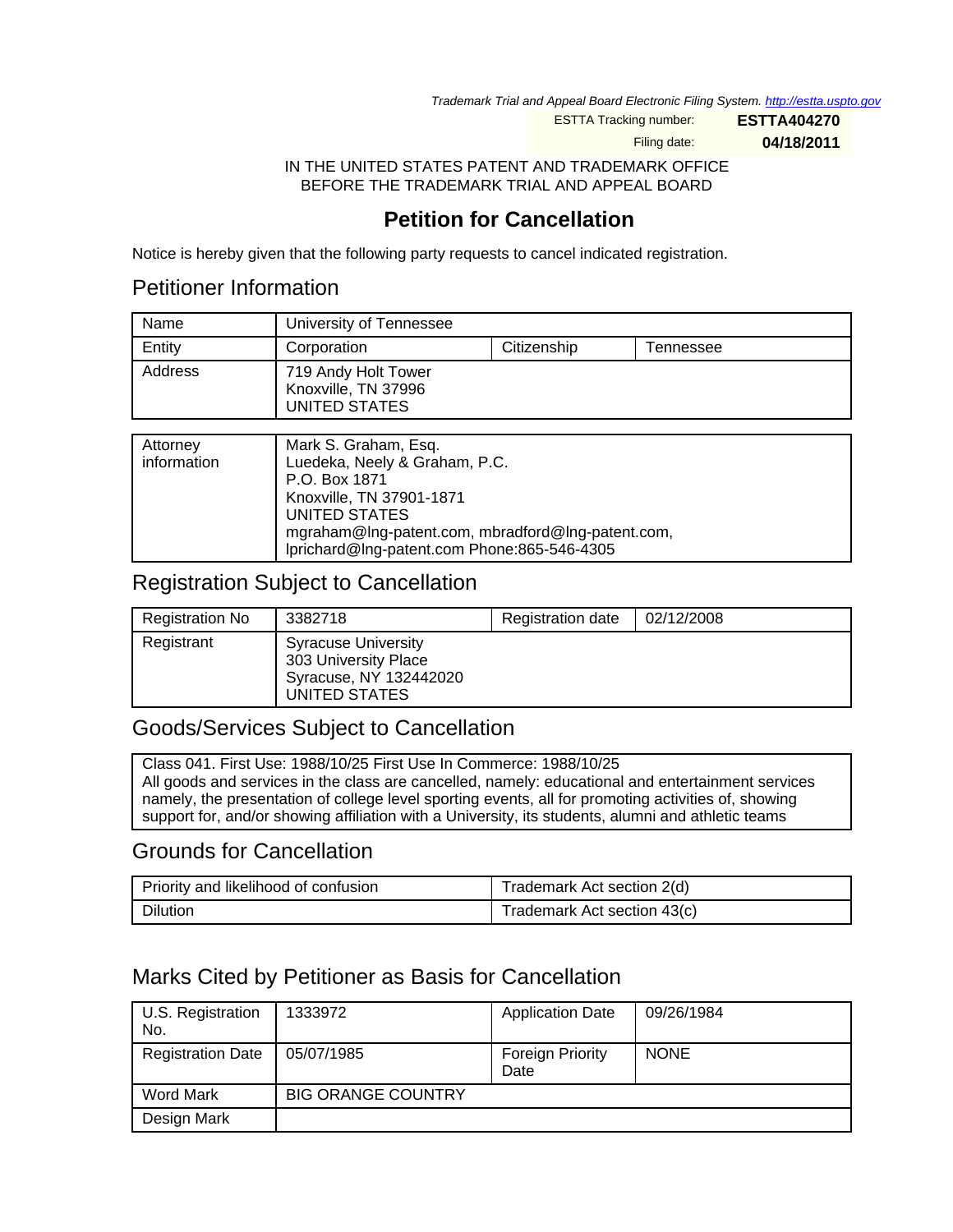Trademark Trial and Appeal Board Electronic Filing System. http://estta.uspto.gov

ESTTA Tracking number: **ESTTA404270**

Filing date: **04/18/2011**

IN THE UNITED STATES PATENT AND TRADEMARK OFFICE BEFORE THE TRADEMARK TRIAL AND APPEAL BOARD

## **Petition for Cancellation**

Notice is hereby given that the following party requests to cancel indicated registration.

## Petitioner Information

| Name    | University of Tennessee                                     |             |           |
|---------|-------------------------------------------------------------|-------------|-----------|
| Entity  | Corporation                                                 | Citizenship | Tennessee |
| Address | 719 Andy Holt Tower<br>Knoxville, TN 37996<br>UNITED STATES |             |           |

| Attorney<br>information | Mark S. Graham, Esq.<br>Luedeka, Neely & Graham, P.C.<br>P.O. Box 1871<br>Knoxville, TN 37901-1871<br>UNITED STATES<br>mgraham@lng-patent.com, mbradford@lng-patent.com,<br>lprichard@lng-patent.com Phone:865-546-4305 |
|-------------------------|-------------------------------------------------------------------------------------------------------------------------------------------------------------------------------------------------------------------------|
|                         |                                                                                                                                                                                                                         |

## Registration Subject to Cancellation

| Registration No | 3382718                                                                                       | <b>Registration date</b> | 02/12/2008 |
|-----------------|-----------------------------------------------------------------------------------------------|--------------------------|------------|
| Registrant      | <b>Syracuse University</b><br>303 University Place<br>Syracuse, NY 132442020<br>UNITED STATES |                          |            |

## Goods/Services Subject to Cancellation

Class 041. First Use: 1988/10/25 First Use In Commerce: 1988/10/25 All goods and services in the class are cancelled, namely: educational and entertainment services namely, the presentation of college level sporting events, all for promoting activities of, showing support for, and/or showing affiliation with a University, its students, alumni and athletic teams

### Grounds for Cancellation

| Priority and likelihood of confusion | Trademark Act section 2(d)  |
|--------------------------------------|-----------------------------|
| Dilution                             | Trademark Act section 43(c) |

## Marks Cited by Petitioner as Basis for Cancellation

| U.S. Registration<br>No. | 1333972                   | <b>Application Date</b>  | 09/26/1984  |
|--------------------------|---------------------------|--------------------------|-------------|
| <b>Registration Date</b> | 05/07/1985                | Foreign Priority<br>Date | <b>NONE</b> |
| Word Mark                | <b>BIG ORANGE COUNTRY</b> |                          |             |
| Design Mark              |                           |                          |             |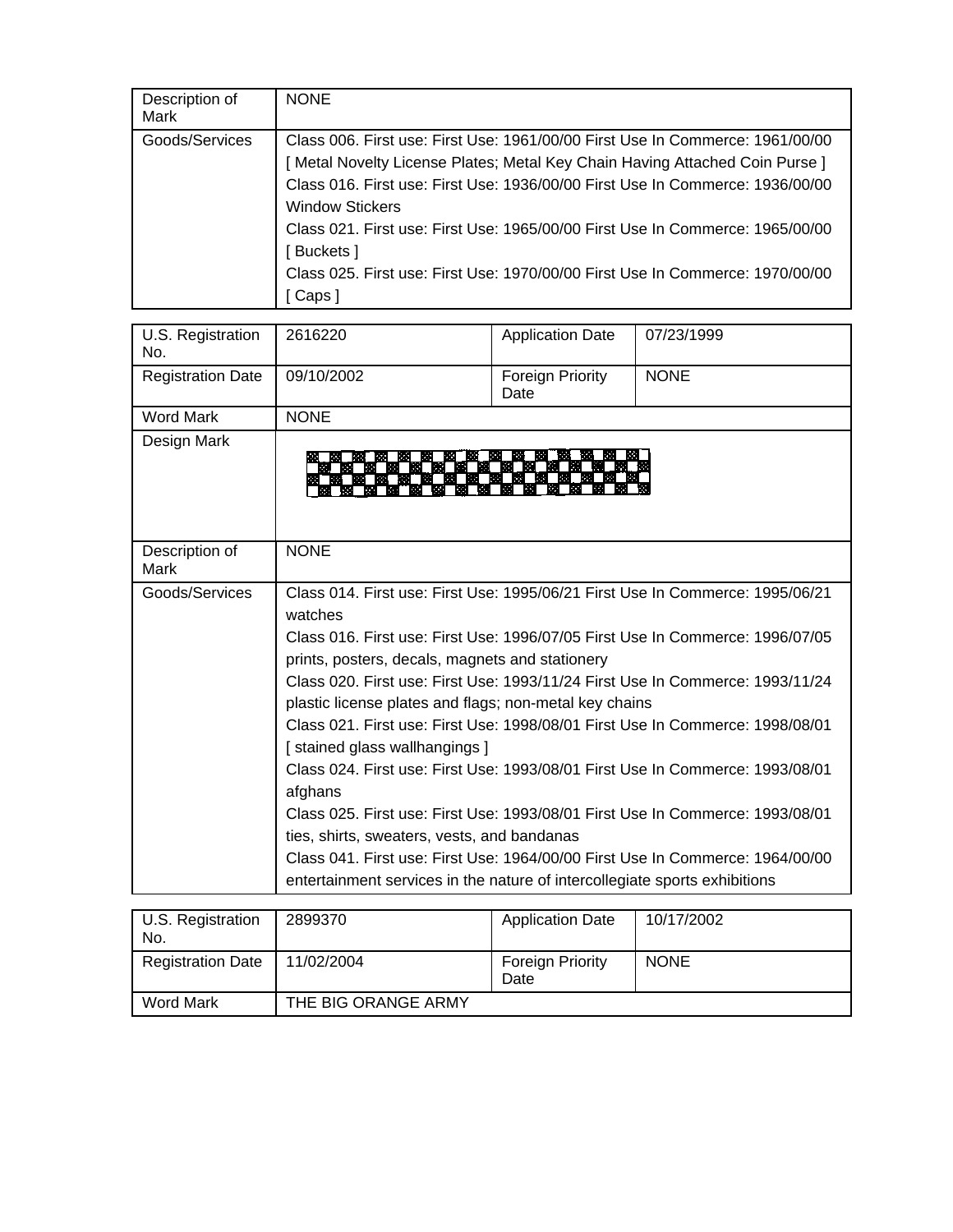| Description of<br>Mark | <b>NONE</b>                                                                                                                                                                                                                                                                                                                                                                                                                                                     |
|------------------------|-----------------------------------------------------------------------------------------------------------------------------------------------------------------------------------------------------------------------------------------------------------------------------------------------------------------------------------------------------------------------------------------------------------------------------------------------------------------|
| Goods/Services         | Class 006. First use: First Use: 1961/00/00 First Use In Commerce: 1961/00/00<br>[Metal Novelty License Plates; Metal Key Chain Having Attached Coin Purse]<br>Class 016, First use: First Use: 1936/00/00 First Use In Commerce: 1936/00/00<br><b>Window Stickers</b><br>Class 021, First use: First Use: 1965/00/00 First Use In Commerce: 1965/00/00<br>[ Buckets ]<br>Class 025. First use: First Use: 1970/00/00 First Use In Commerce: 1970/00/00<br>Caps |

| U.S. Registration<br>No. | 2616220                                                                                                                                                                                                                                                                                                                                                                                                                                                                                                                                                                                                                                                                                                                                                                                                                                                                             | <b>Application Date</b>  | 07/23/1999  |
|--------------------------|-------------------------------------------------------------------------------------------------------------------------------------------------------------------------------------------------------------------------------------------------------------------------------------------------------------------------------------------------------------------------------------------------------------------------------------------------------------------------------------------------------------------------------------------------------------------------------------------------------------------------------------------------------------------------------------------------------------------------------------------------------------------------------------------------------------------------------------------------------------------------------------|--------------------------|-------------|
| <b>Registration Date</b> | 09/10/2002                                                                                                                                                                                                                                                                                                                                                                                                                                                                                                                                                                                                                                                                                                                                                                                                                                                                          | Foreign Priority<br>Date | <b>NONE</b> |
| <b>Word Mark</b>         | <b>NONE</b>                                                                                                                                                                                                                                                                                                                                                                                                                                                                                                                                                                                                                                                                                                                                                                                                                                                                         |                          |             |
| Design Mark              |                                                                                                                                                                                                                                                                                                                                                                                                                                                                                                                                                                                                                                                                                                                                                                                                                                                                                     |                          |             |
| Description of<br>Mark   | <b>NONE</b>                                                                                                                                                                                                                                                                                                                                                                                                                                                                                                                                                                                                                                                                                                                                                                                                                                                                         |                          |             |
| Goods/Services           | Class 014. First use: First Use: 1995/06/21 First Use In Commerce: 1995/06/21<br>watches<br>Class 016. First use: First Use: 1996/07/05 First Use In Commerce: 1996/07/05<br>prints, posters, decals, magnets and stationery<br>Class 020, First use: First Use: 1993/11/24 First Use In Commerce: 1993/11/24<br>plastic license plates and flags; non-metal key chains<br>Class 021, First use: First Use: 1998/08/01 First Use In Commerce: 1998/08/01<br>[stained glass wallhangings]<br>Class 024. First use: First Use: 1993/08/01 First Use In Commerce: 1993/08/01<br>afghans<br>Class 025. First use: First Use: 1993/08/01 First Use In Commerce: 1993/08/01<br>ties, shirts, sweaters, vests, and bandanas<br>Class 041. First use: First Use: 1964/00/00 First Use In Commerce: 1964/00/00<br>entertainment services in the nature of intercollegiate sports exhibitions |                          |             |

| U.S. Registration<br>No. | 2899370             | <b>Application Date</b>         | 10/17/2002  |
|--------------------------|---------------------|---------------------------------|-------------|
| <b>Registration Date</b> | 11/02/2004          | <b>Foreign Priority</b><br>Date | <b>NONE</b> |
| Word Mark                | THE BIG ORANGE ARMY |                                 |             |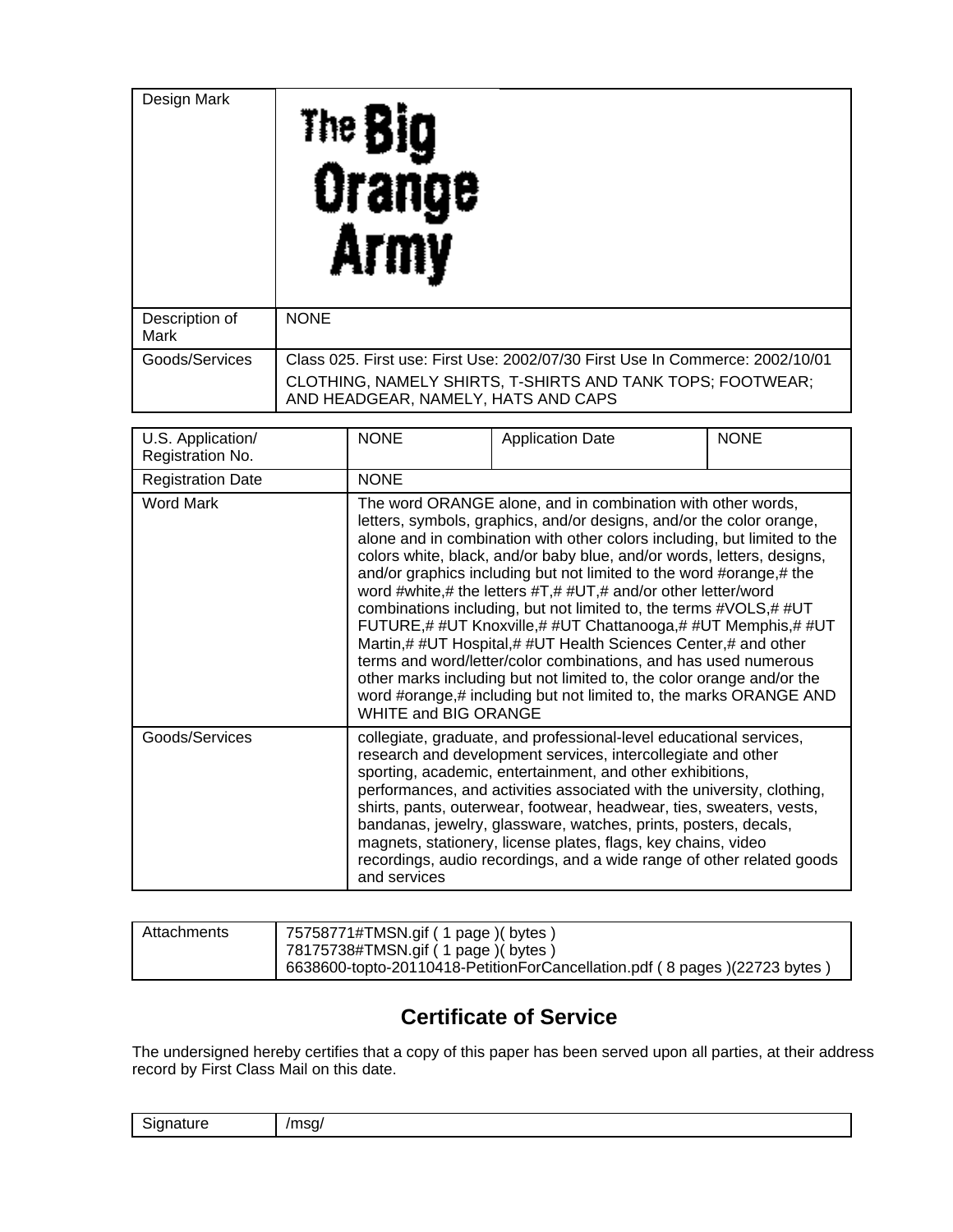| Design Mark            | The <b>Big</b><br>Orange<br>AT I                                                                  |
|------------------------|---------------------------------------------------------------------------------------------------|
| Description of<br>Mark | <b>NONE</b>                                                                                       |
| Goods/Services         | Class 025. First use: First Use: 2002/07/30 First Use In Commerce: 2002/10/01                     |
|                        | CLOTHING, NAMELY SHIRTS, T-SHIRTS AND TANK TOPS; FOOTWEAR;<br>AND HEADGEAR, NAMELY, HATS AND CAPS |

| U.S. Application/<br>Registration No. | <b>NONE</b>                                                                                                                                                                                                                                                                                                                                                                                                                                                                                                                                                                                                                                                                                                                                                                                                                                                                              | <b>Application Date</b> | <b>NONE</b> |
|---------------------------------------|------------------------------------------------------------------------------------------------------------------------------------------------------------------------------------------------------------------------------------------------------------------------------------------------------------------------------------------------------------------------------------------------------------------------------------------------------------------------------------------------------------------------------------------------------------------------------------------------------------------------------------------------------------------------------------------------------------------------------------------------------------------------------------------------------------------------------------------------------------------------------------------|-------------------------|-------------|
| <b>Registration Date</b>              | <b>NONE</b>                                                                                                                                                                                                                                                                                                                                                                                                                                                                                                                                                                                                                                                                                                                                                                                                                                                                              |                         |             |
| <b>Word Mark</b>                      | The word ORANGE alone, and in combination with other words,<br>letters, symbols, graphics, and/or designs, and/or the color orange,<br>alone and in combination with other colors including, but limited to the<br>colors white, black, and/or baby blue, and/or words, letters, designs,<br>and/or graphics including but not limited to the word #orange,# the<br>word #white,# the letters #T,# #UT,# and/or other letter/word<br>combinations including, but not limited to, the terms #VOLS,# #UT<br>FUTURE,# #UT Knoxville,# #UT Chattanooga,# #UT Memphis,# #UT<br>Martin,# #UT Hospital,# #UT Health Sciences Center,# and other<br>terms and word/letter/color combinations, and has used numerous<br>other marks including but not limited to, the color orange and/or the<br>word #orange,# including but not limited to, the marks ORANGE AND<br><b>WHITE and BIG ORANGE</b> |                         |             |
| Goods/Services                        | collegiate, graduate, and professional-level educational services,<br>research and development services, intercollegiate and other<br>sporting, academic, entertainment, and other exhibitions,<br>performances, and activities associated with the university, clothing,<br>shirts, pants, outerwear, footwear, headwear, ties, sweaters, vests,<br>bandanas, jewelry, glassware, watches, prints, posters, decals,<br>magnets, stationery, license plates, flags, key chains, video<br>recordings, audio recordings, and a wide range of other related goods<br>and services                                                                                                                                                                                                                                                                                                           |                         |             |

| Attachments | 75758771#TMSN.gif ( 1 page )( bytes )<br>78175738#TMSN.gif ( 1 page )( bytes ) |
|-------------|--------------------------------------------------------------------------------|
|             | 6638600-topto-20110418-PetitionForCancellation.pdf (8 pages)(22723 bytes)      |

# **Certificate of Service**

The undersigned hereby certifies that a copy of this paper has been served upon all parties, at their address record by First Class Mail on this date.

| <br>∽<br>- - - -<br>יי<br>. .<br>.<br>. | $m \wedge n$<br>эс<br>`<br> |
|-----------------------------------------|-----------------------------|
|-----------------------------------------|-----------------------------|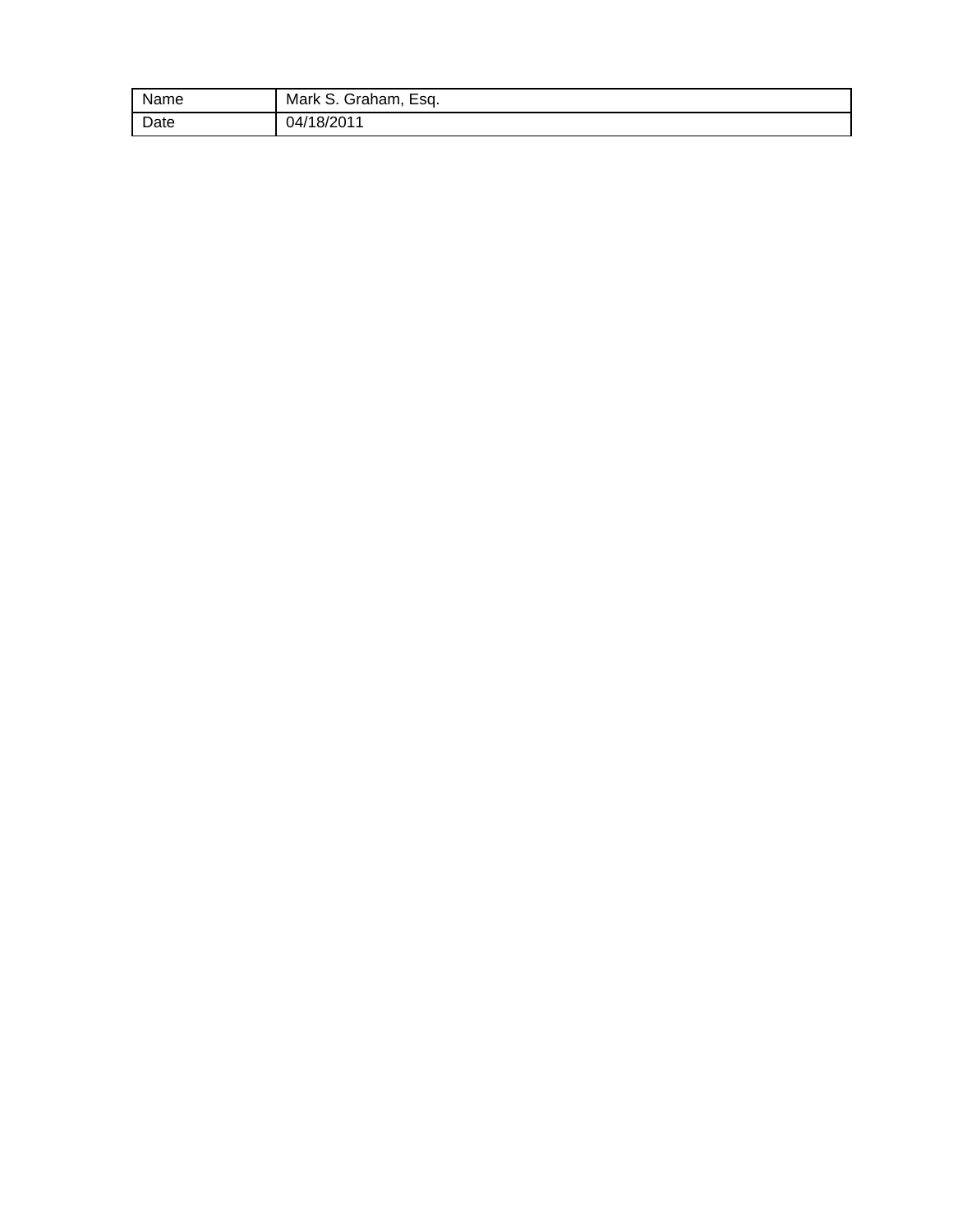| Name | Mark S. Graham, Esq. |
|------|----------------------|
| Date | 04/18/2011           |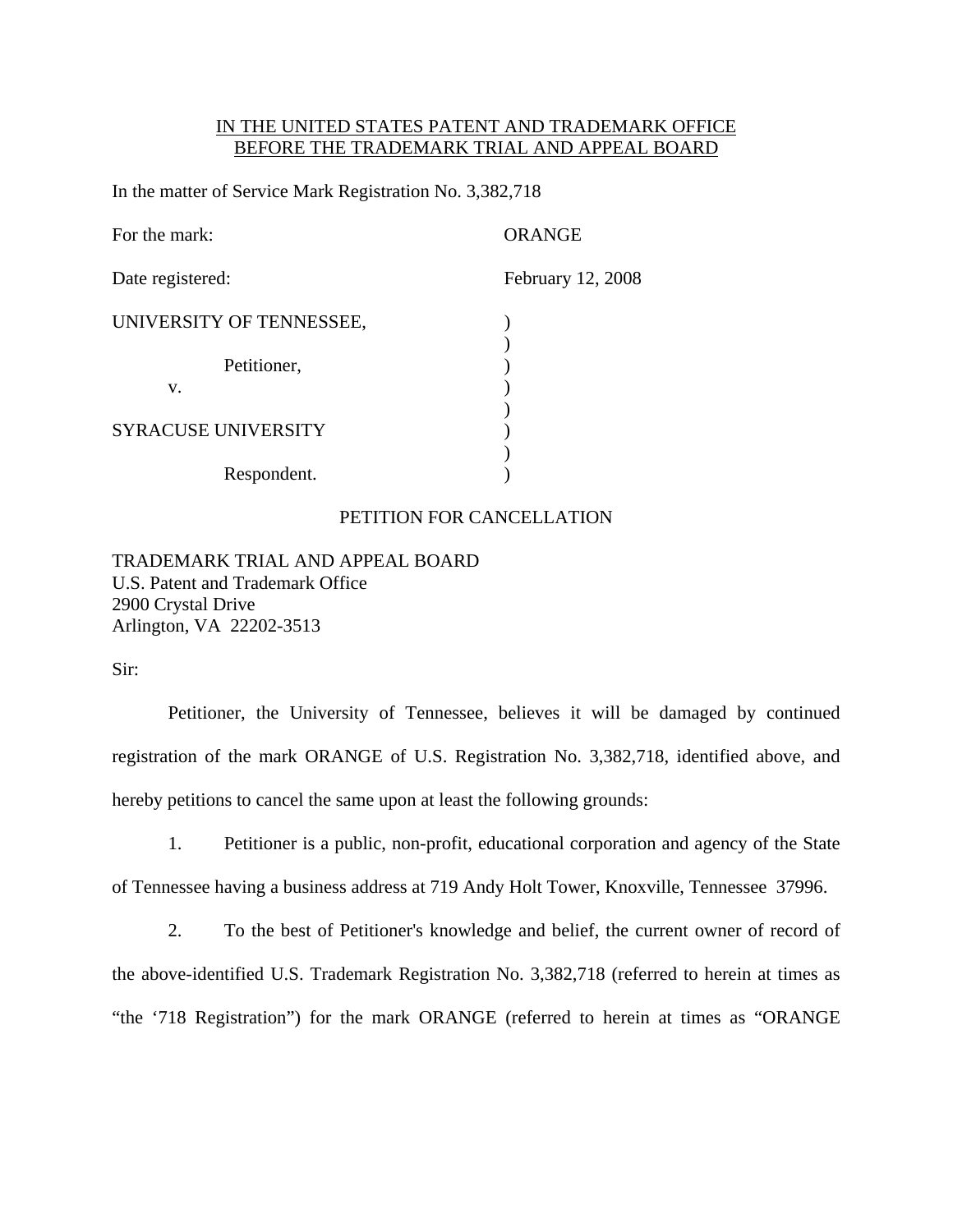#### IN THE UNITED STATES PATENT AND TRADEMARK OFFICE BEFORE THE TRADEMARK TRIAL AND APPEAL BOARD

In the matter of Service Mark Registration No. 3,382,718

| For the mark:              | <b>ORANGE</b>     |
|----------------------------|-------------------|
| Date registered:           | February 12, 2008 |
| UNIVERSITY OF TENNESSEE,   |                   |
| Petitioner,<br>V.          |                   |
| <b>SYRACUSE UNIVERSITY</b> |                   |
| Respondent.                |                   |

#### PETITION FOR CANCELLATION

TRADEMARK TRIAL AND APPEAL BOARD U.S. Patent and Trademark Office 2900 Crystal Drive Arlington, VA 22202-3513

Sir:

Petitioner, the University of Tennessee, believes it will be damaged by continued registration of the mark ORANGE of U.S. Registration No. 3,382,718, identified above, and hereby petitions to cancel the same upon at least the following grounds:

1. Petitioner is a public, non-profit, educational corporation and agency of the State of Tennessee having a business address at 719 Andy Holt Tower, Knoxville, Tennessee 37996.

2. To the best of Petitioner's knowledge and belief, the current owner of record of the above-identified U.S. Trademark Registration No. 3,382,718 (referred to herein at times as "the '718 Registration") for the mark ORANGE (referred to herein at times as "ORANGE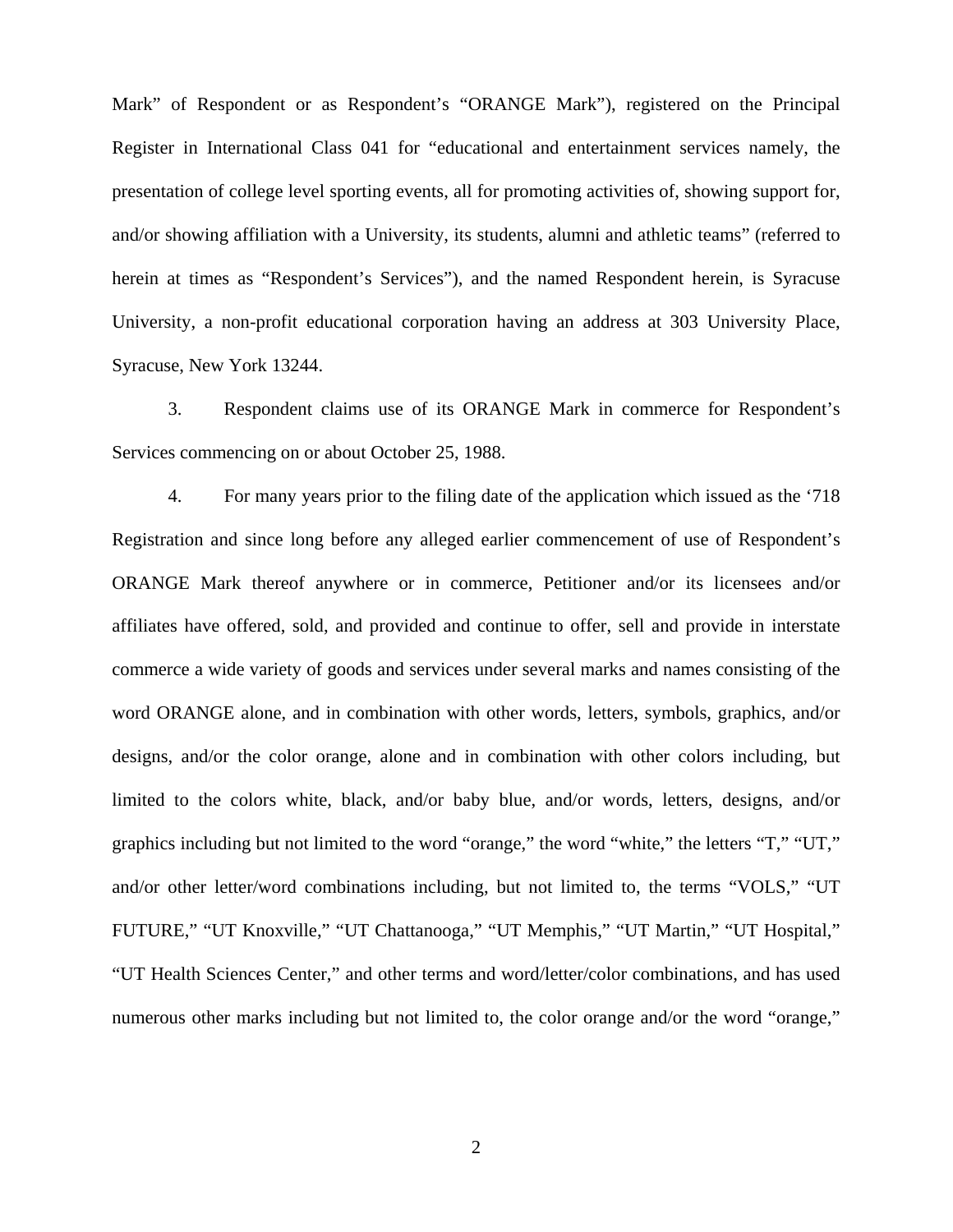Mark" of Respondent or as Respondent's "ORANGE Mark"), registered on the Principal Register in International Class 041 for "educational and entertainment services namely, the presentation of college level sporting events, all for promoting activities of, showing support for, and/or showing affiliation with a University, its students, alumni and athletic teams" (referred to herein at times as "Respondent's Services"), and the named Respondent herein, is Syracuse University, a non-profit educational corporation having an address at 303 University Place, Syracuse, New York 13244.

3. Respondent claims use of its ORANGE Mark in commerce for Respondent's Services commencing on or about October 25, 1988.

4. For many years prior to the filing date of the application which issued as the '718 Registration and since long before any alleged earlier commencement of use of Respondent's ORANGE Mark thereof anywhere or in commerce, Petitioner and/or its licensees and/or affiliates have offered, sold, and provided and continue to offer, sell and provide in interstate commerce a wide variety of goods and services under several marks and names consisting of the word ORANGE alone, and in combination with other words, letters, symbols, graphics, and/or designs, and/or the color orange, alone and in combination with other colors including, but limited to the colors white, black, and/or baby blue, and/or words, letters, designs, and/or graphics including but not limited to the word "orange," the word "white," the letters "T," "UT," and/or other letter/word combinations including, but not limited to, the terms "VOLS," "UT FUTURE," "UT Knoxville," "UT Chattanooga," "UT Memphis," "UT Martin," "UT Hospital," "UT Health Sciences Center," and other terms and word/letter/color combinations, and has used numerous other marks including but not limited to, the color orange and/or the word "orange,"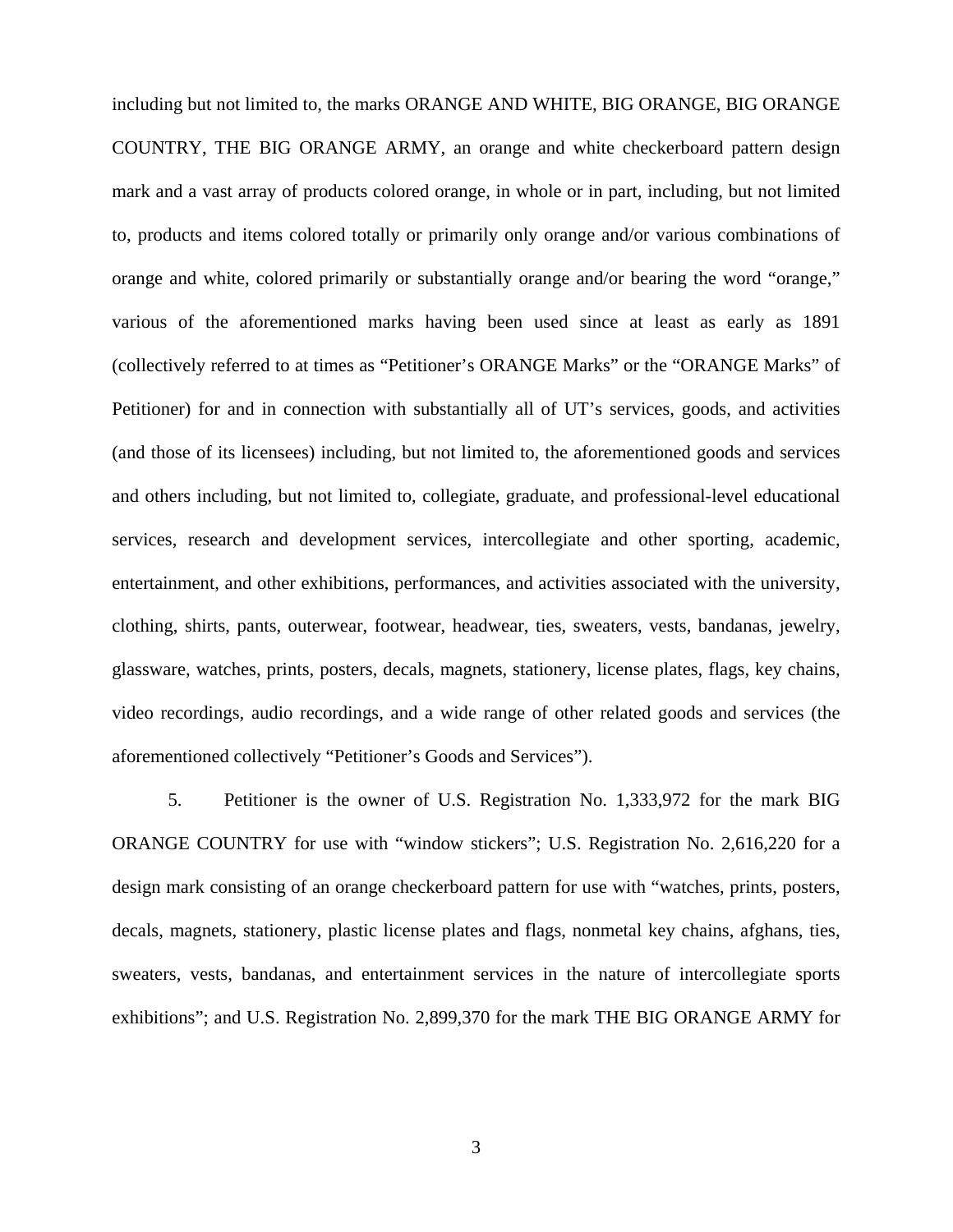including but not limited to, the marks ORANGE AND WHITE, BIG ORANGE, BIG ORANGE COUNTRY, THE BIG ORANGE ARMY, an orange and white checkerboard pattern design mark and a vast array of products colored orange, in whole or in part, including, but not limited to, products and items colored totally or primarily only orange and/or various combinations of orange and white, colored primarily or substantially orange and/or bearing the word "orange," various of the aforementioned marks having been used since at least as early as 1891 (collectively referred to at times as "Petitioner's ORANGE Marks" or the "ORANGE Marks" of Petitioner) for and in connection with substantially all of UT's services, goods, and activities (and those of its licensees) including, but not limited to, the aforementioned goods and services and others including, but not limited to, collegiate, graduate, and professional-level educational services, research and development services, intercollegiate and other sporting, academic, entertainment, and other exhibitions, performances, and activities associated with the university, clothing, shirts, pants, outerwear, footwear, headwear, ties, sweaters, vests, bandanas, jewelry, glassware, watches, prints, posters, decals, magnets, stationery, license plates, flags, key chains, video recordings, audio recordings, and a wide range of other related goods and services (the aforementioned collectively "Petitioner's Goods and Services").

5. Petitioner is the owner of U.S. Registration No. 1,333,972 for the mark BIG ORANGE COUNTRY for use with "window stickers"; U.S. Registration No. 2,616,220 for a design mark consisting of an orange checkerboard pattern for use with "watches, prints, posters, decals, magnets, stationery, plastic license plates and flags, nonmetal key chains, afghans, ties, sweaters, vests, bandanas, and entertainment services in the nature of intercollegiate sports exhibitions"; and U.S. Registration No. 2,899,370 for the mark THE BIG ORANGE ARMY for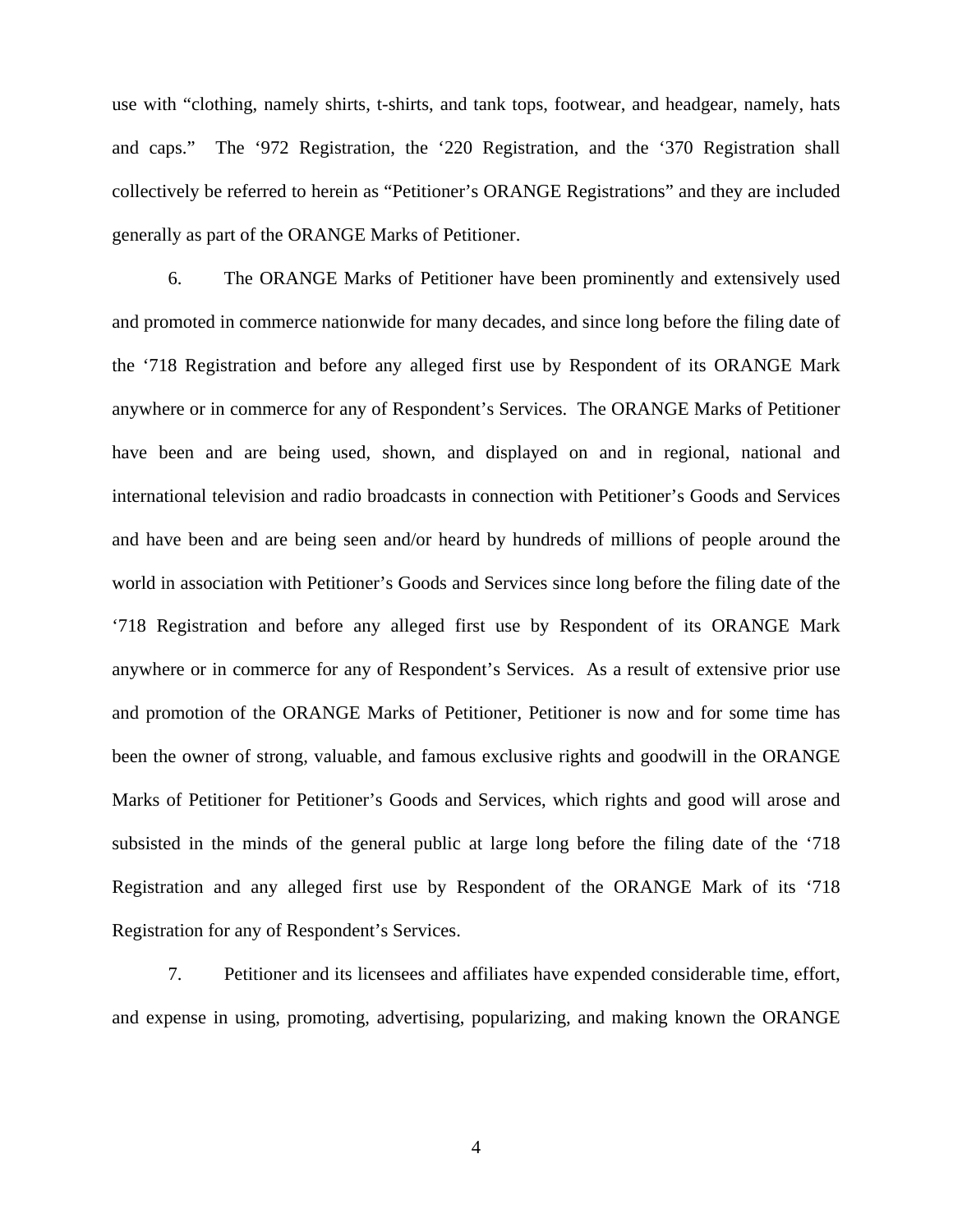use with "clothing, namely shirts, t-shirts, and tank tops, footwear, and headgear, namely, hats and caps." The '972 Registration, the '220 Registration, and the '370 Registration shall collectively be referred to herein as "Petitioner's ORANGE Registrations" and they are included generally as part of the ORANGE Marks of Petitioner.

6. The ORANGE Marks of Petitioner have been prominently and extensively used and promoted in commerce nationwide for many decades, and since long before the filing date of the '718 Registration and before any alleged first use by Respondent of its ORANGE Mark anywhere or in commerce for any of Respondent's Services. The ORANGE Marks of Petitioner have been and are being used, shown, and displayed on and in regional, national and international television and radio broadcasts in connection with Petitioner's Goods and Services and have been and are being seen and/or heard by hundreds of millions of people around the world in association with Petitioner's Goods and Services since long before the filing date of the '718 Registration and before any alleged first use by Respondent of its ORANGE Mark anywhere or in commerce for any of Respondent's Services. As a result of extensive prior use and promotion of the ORANGE Marks of Petitioner, Petitioner is now and for some time has been the owner of strong, valuable, and famous exclusive rights and goodwill in the ORANGE Marks of Petitioner for Petitioner's Goods and Services, which rights and good will arose and subsisted in the minds of the general public at large long before the filing date of the '718 Registration and any alleged first use by Respondent of the ORANGE Mark of its '718 Registration for any of Respondent's Services.

7. Petitioner and its licensees and affiliates have expended considerable time, effort, and expense in using, promoting, advertising, popularizing, and making known the ORANGE

4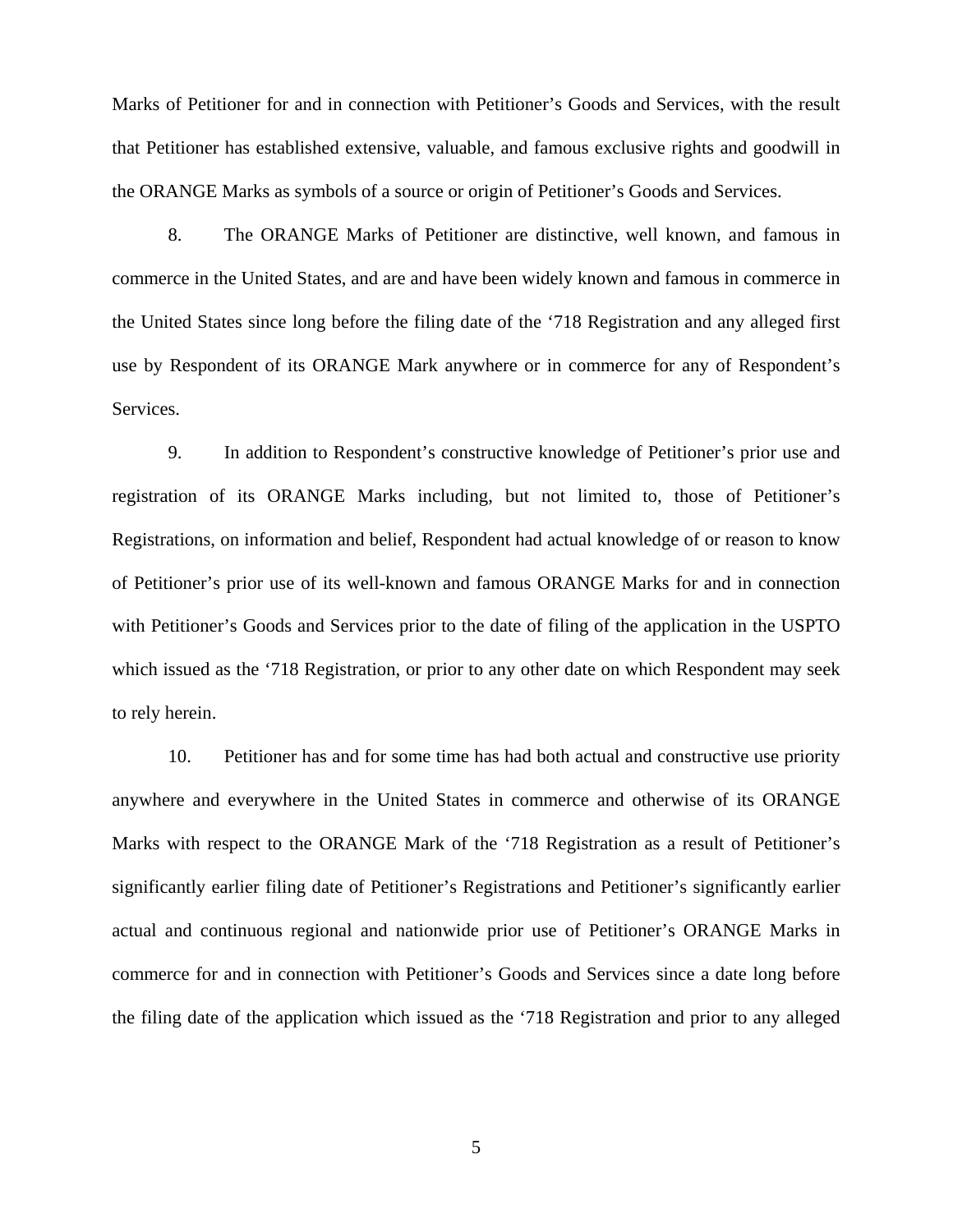Marks of Petitioner for and in connection with Petitioner's Goods and Services, with the result that Petitioner has established extensive, valuable, and famous exclusive rights and goodwill in the ORANGE Marks as symbols of a source or origin of Petitioner's Goods and Services.

8. The ORANGE Marks of Petitioner are distinctive, well known, and famous in commerce in the United States, and are and have been widely known and famous in commerce in the United States since long before the filing date of the '718 Registration and any alleged first use by Respondent of its ORANGE Mark anywhere or in commerce for any of Respondent's Services.

9. In addition to Respondent's constructive knowledge of Petitioner's prior use and registration of its ORANGE Marks including, but not limited to, those of Petitioner's Registrations, on information and belief, Respondent had actual knowledge of or reason to know of Petitioner's prior use of its well-known and famous ORANGE Marks for and in connection with Petitioner's Goods and Services prior to the date of filing of the application in the USPTO which issued as the '718 Registration, or prior to any other date on which Respondent may seek to rely herein.

10. Petitioner has and for some time has had both actual and constructive use priority anywhere and everywhere in the United States in commerce and otherwise of its ORANGE Marks with respect to the ORANGE Mark of the '718 Registration as a result of Petitioner's significantly earlier filing date of Petitioner's Registrations and Petitioner's significantly earlier actual and continuous regional and nationwide prior use of Petitioner's ORANGE Marks in commerce for and in connection with Petitioner's Goods and Services since a date long before the filing date of the application which issued as the '718 Registration and prior to any alleged

5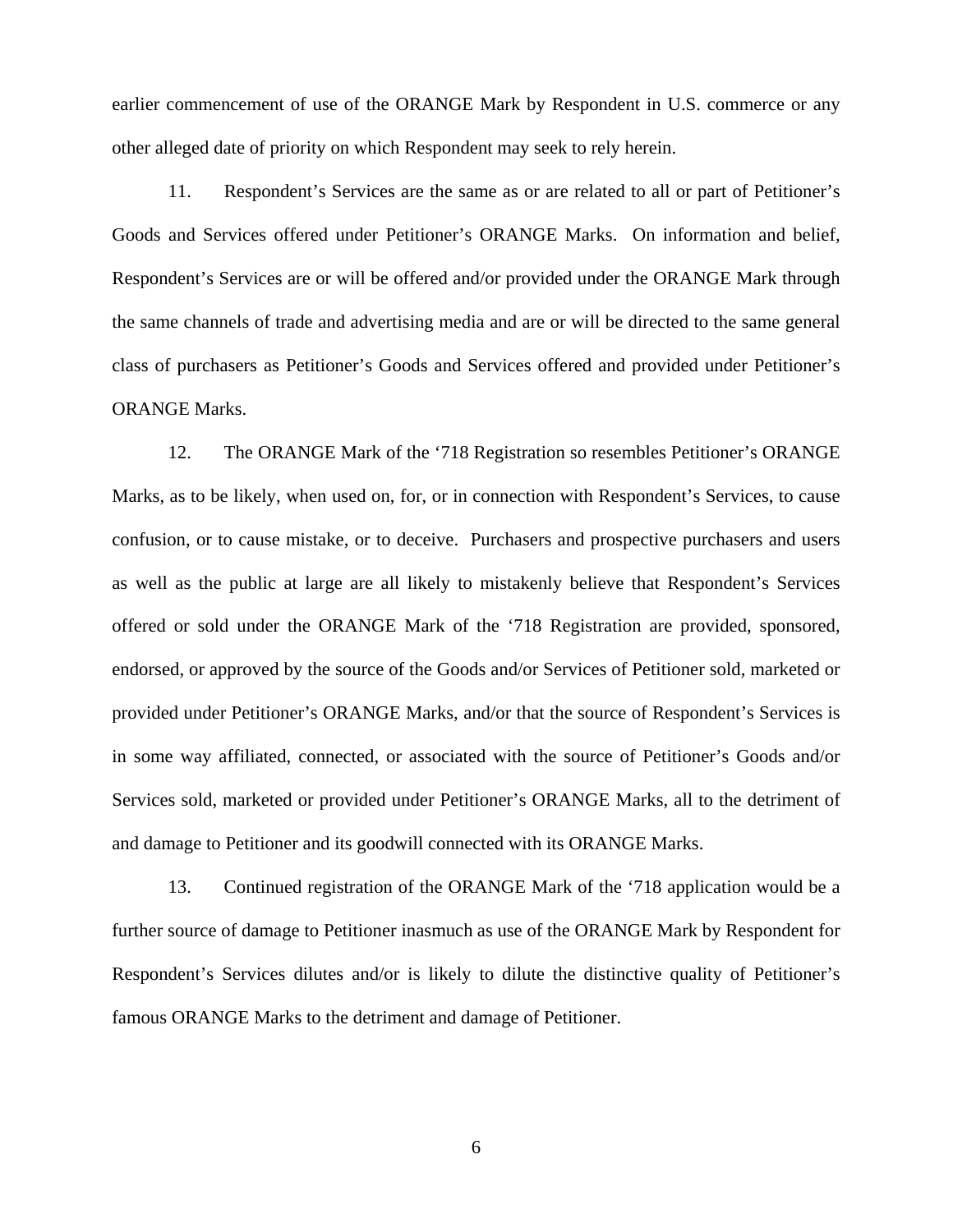earlier commencement of use of the ORANGE Mark by Respondent in U.S. commerce or any other alleged date of priority on which Respondent may seek to rely herein.

11. Respondent's Services are the same as or are related to all or part of Petitioner's Goods and Services offered under Petitioner's ORANGE Marks. On information and belief, Respondent's Services are or will be offered and/or provided under the ORANGE Mark through the same channels of trade and advertising media and are or will be directed to the same general class of purchasers as Petitioner's Goods and Services offered and provided under Petitioner's ORANGE Marks.

12. The ORANGE Mark of the '718 Registration so resembles Petitioner's ORANGE Marks, as to be likely, when used on, for, or in connection with Respondent's Services, to cause confusion, or to cause mistake, or to deceive. Purchasers and prospective purchasers and users as well as the public at large are all likely to mistakenly believe that Respondent's Services offered or sold under the ORANGE Mark of the '718 Registration are provided, sponsored, endorsed, or approved by the source of the Goods and/or Services of Petitioner sold, marketed or provided under Petitioner's ORANGE Marks, and/or that the source of Respondent's Services is in some way affiliated, connected, or associated with the source of Petitioner's Goods and/or Services sold, marketed or provided under Petitioner's ORANGE Marks, all to the detriment of and damage to Petitioner and its goodwill connected with its ORANGE Marks.

13. Continued registration of the ORANGE Mark of the '718 application would be a further source of damage to Petitioner inasmuch as use of the ORANGE Mark by Respondent for Respondent's Services dilutes and/or is likely to dilute the distinctive quality of Petitioner's famous ORANGE Marks to the detriment and damage of Petitioner.

6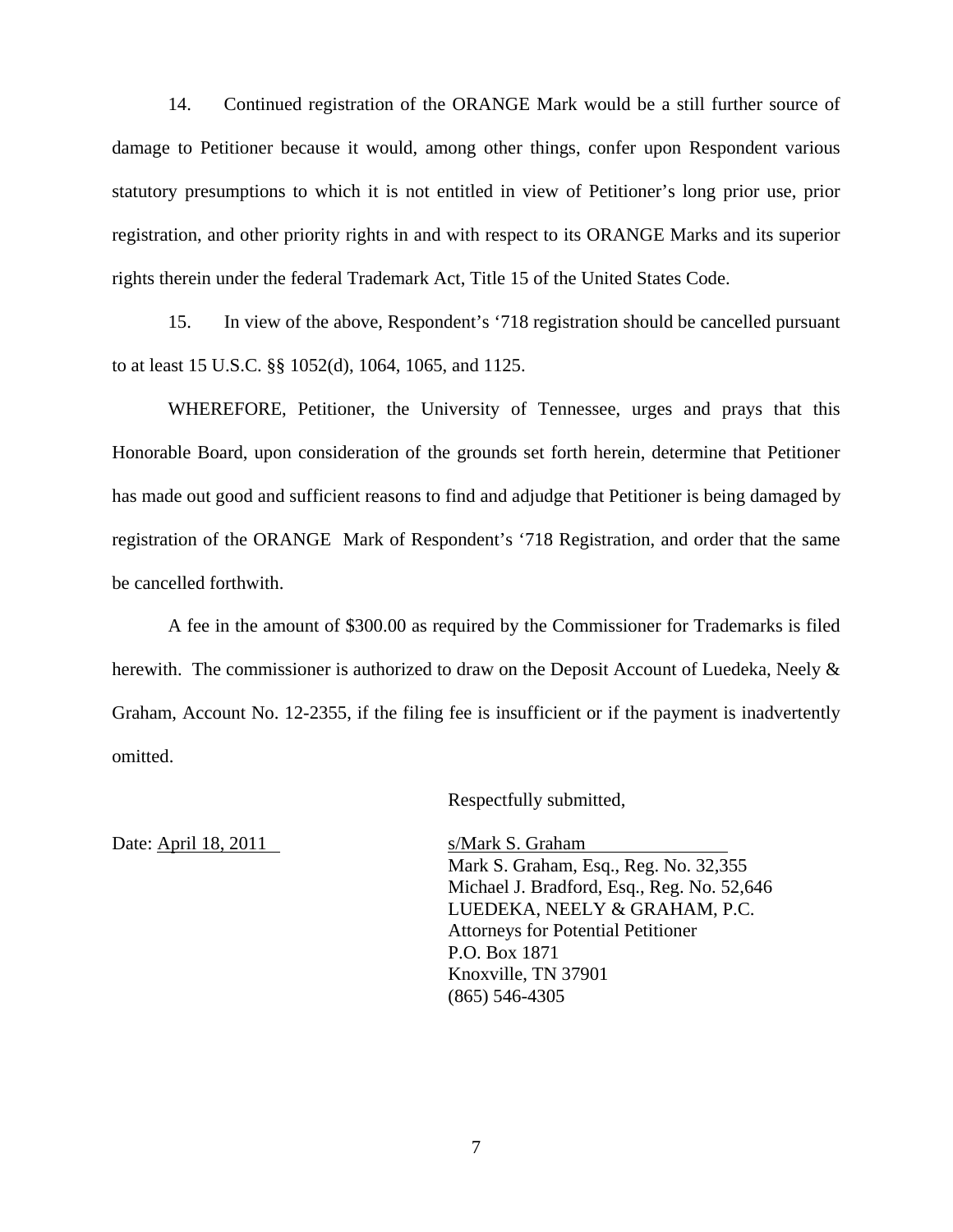14. Continued registration of the ORANGE Mark would be a still further source of damage to Petitioner because it would, among other things, confer upon Respondent various statutory presumptions to which it is not entitled in view of Petitioner's long prior use, prior registration, and other priority rights in and with respect to its ORANGE Marks and its superior rights therein under the federal Trademark Act, Title 15 of the United States Code.

15. In view of the above, Respondent's '718 registration should be cancelled pursuant to at least 15 U.S.C. §§ 1052(d), 1064, 1065, and 1125.

WHEREFORE, Petitioner, the University of Tennessee, urges and prays that this Honorable Board, upon consideration of the grounds set forth herein, determine that Petitioner has made out good and sufficient reasons to find and adjudge that Petitioner is being damaged by registration of the ORANGE Mark of Respondent's '718 Registration, and order that the same be cancelled forthwith.

A fee in the amount of \$300.00 as required by the Commissioner for Trademarks is filed herewith. The commissioner is authorized to draw on the Deposit Account of Luedeka, Neely & Graham, Account No. 12-2355, if the filing fee is insufficient or if the payment is inadvertently omitted.

Respectfully submitted,

Date: April 18, 2011 s/Mark S. Graham

Mark S. Graham, Esq., Reg. No. 32,355 Michael J. Bradford, Esq., Reg. No. 52,646 LUEDEKA, NEELY & GRAHAM, P.C. Attorneys for Potential Petitioner P.O. Box 1871 Knoxville, TN 37901 (865) 546-4305